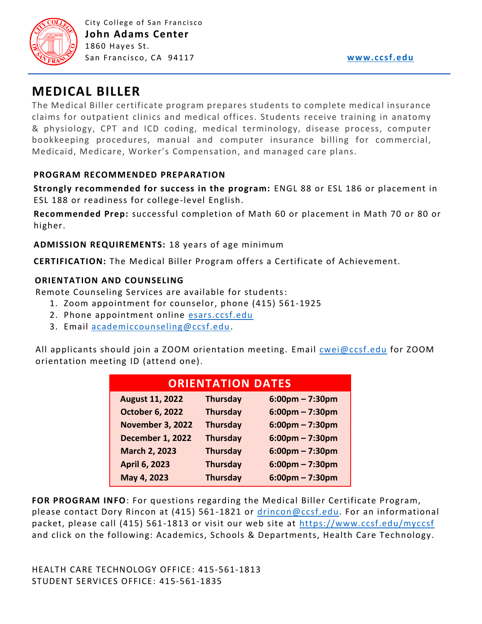

# **MEDICAL BILLER**

The Medical Biller certificate program prepares students to complete medical insurance claims for outpatient clinics and medical offices. Students receive training in anatomy & physiology, CPT and ICD coding, medical terminology, disease process, computer bookkeeping procedures, manual and computer insurance billing for commercial, Medicaid, Medicare, Worker's Compensation, and managed care plans.

### **PROGRAM RECOMMENDED PREPARATION**

**Strongly recommended for success in the program:** ENGL 88 or ESL 186 or placement in ESL 188 or readiness for college-level English.

**Recommended Prep:** successful completion of Math 60 or placement in Math 70 or 80 or higher.

**ADMISSION REQUIREMENTS:** 18 years of age minimum

**CERTIFICATION:** The Medical Biller Program offers a Certificate of Achievement.

#### **ORIENTATION AND COUNSELING**

Remote Counseling Services are available for students:

- 1. Zoom appointment for counselor, phone (415) 561-1925
- 2. Phone appointment online [esars.ccsf.edu](https://esars.ccsf.edu/)
- 3. Email [academiccounseling@ccsf.edu.](mailto:academiccounseling@ccsf.edu)

All applicants should join a ZOOM orientation meeting. Email [cwei@ccsf.edu](mailto:cwei@ccsf.edu) for ZOOM orientation meeting ID (attend one).

| <b>ORIENTATION DATES</b> |                 |                                   |
|--------------------------|-----------------|-----------------------------------|
| <b>August 11, 2022</b>   | <b>Thursday</b> | $6:00$ pm – 7:30pm                |
| <b>October 6, 2022</b>   | <b>Thursday</b> | $6:00 \text{pm} - 7:30 \text{pm}$ |
| <b>November 3, 2022</b>  | <b>Thursday</b> | $6:00 \text{pm} - 7:30 \text{pm}$ |
| <b>December 1, 2022</b>  | <b>Thursday</b> | $6:00$ pm – 7:30pm                |
| <b>March 2, 2023</b>     | <b>Thursday</b> | $6:00$ pm – 7:30pm                |
| <b>April 6, 2023</b>     | <b>Thursday</b> | $6:00$ pm – 7:30pm                |
| May 4, 2023              | <b>Thursday</b> | $6:00$ pm – 7:30pm                |

**FOR PROGRAM INFO**: For questions regarding the Medical Biller Certificate Program, please contact Dory Rincon at (415) 561-1821 or [drincon@ccsf.edu.](mailto:drincon@ccsf.edu) For an informational packet, please call (415) 561-1813 or visit our web site at<https://www.ccsf.edu/myccsf> and click on the following: Academics, Schools & Departments, Health Care Technology.

HEALTH CARE TECHNOLOGY OFFICE: 415-561-1813 STUDENT SERVICES OFFICE: 415-561-1835